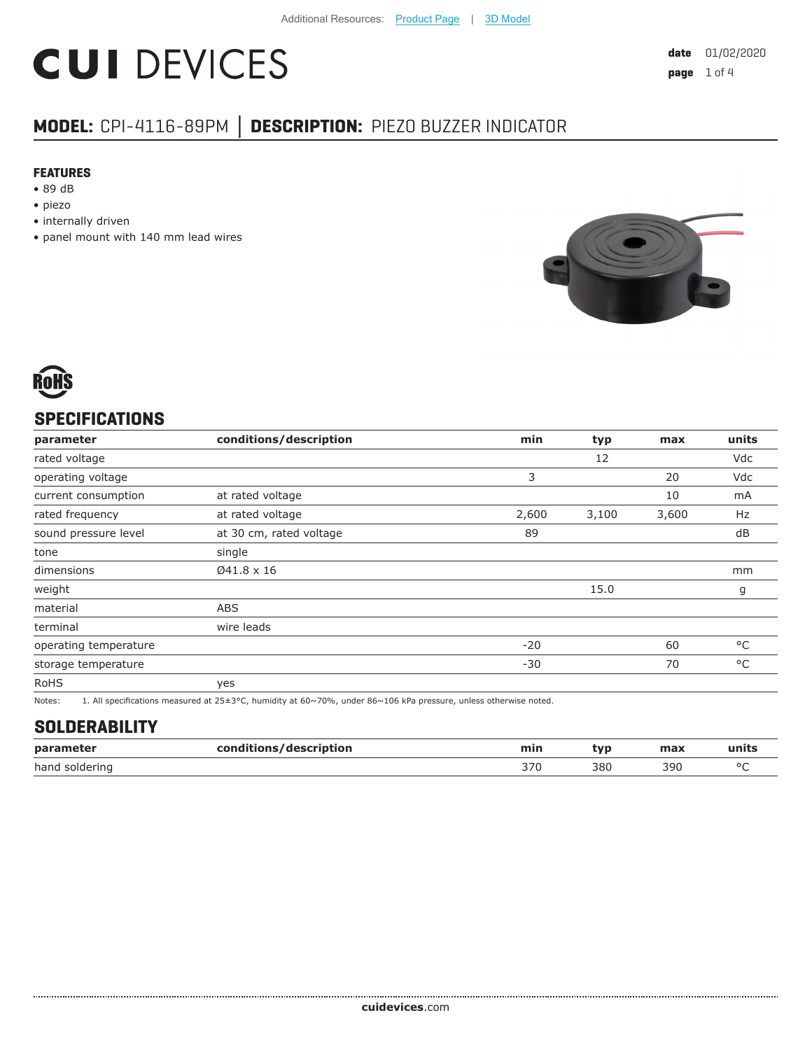# **CUI DEVICES**

## **MODEL:** CPI-4116-89PM **│ DESCRIPTION:** PIEZO BUZZER INDICATOR

#### **FEATURES**

- 89 dB
- piezo
- internally driven
- panel mount with 140 mm lead wires





### **SPECIFICATIONS**

| parameter             | conditions/description  | min   | typ   | max   | units        |
|-----------------------|-------------------------|-------|-------|-------|--------------|
| rated voltage         |                         |       | 12    |       | Vdc          |
| operating voltage     |                         | 3     |       | 20    | Vdc          |
| current consumption   | at rated voltage        |       |       | 10    | mA           |
| rated frequency       | at rated voltage        | 2,600 | 3,100 | 3,600 | Hz           |
| sound pressure level  | at 30 cm, rated voltage | 89    |       |       | dB           |
| tone                  | single                  |       |       |       |              |
| dimensions            | Ø41.8 x 16              |       |       |       | mm           |
| weight                |                         |       | 15.0  |       | g            |
| material              | ABS                     |       |       |       |              |
| terminal              | wire leads              |       |       |       |              |
| operating temperature |                         | $-20$ |       | 60    | °C           |
| storage temperature   |                         | $-30$ |       | 70    | $^{\circ}$ C |
| <b>RoHS</b>           | yes                     |       |       |       |              |
|                       | .                       |       |       |       |              |

Notes: 1. All specifications measured at 25±3°C, humidity at 60~70%, under 86~106 kPa pressure, unless otherwise noted.

#### **SOLDERABILITY**

| parameter         | con.<br>:/description<br>----<br>___ | min | W   | max | units   |
|-------------------|--------------------------------------|-----|-----|-----|---------|
| hand<br>soldering |                                      | っって | 380 | 390 | $\circ$ |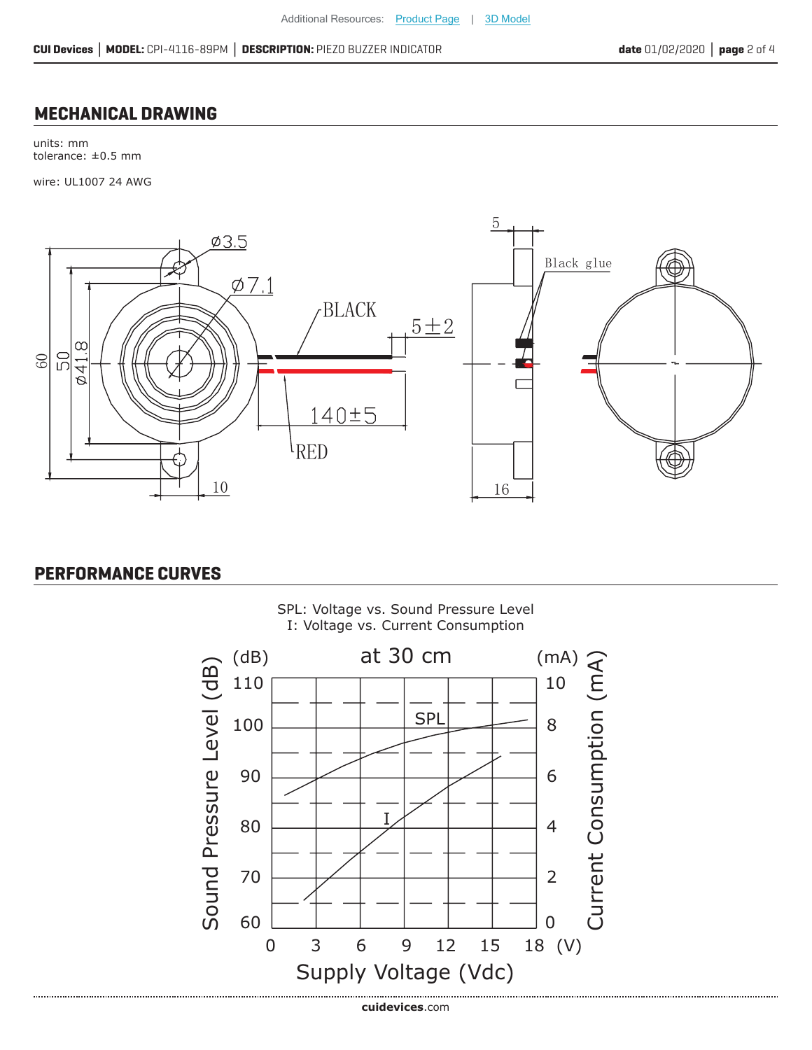#### **MECHANICAL DRAWING**

units: mm tolerance: ±0.5 mm

wire: UL1007 24 AWG



### **PERFORMANCE CURVES**

..................................



SPL: Voltage vs. Sound Pressure Level I: Voltage vs. Current Consumption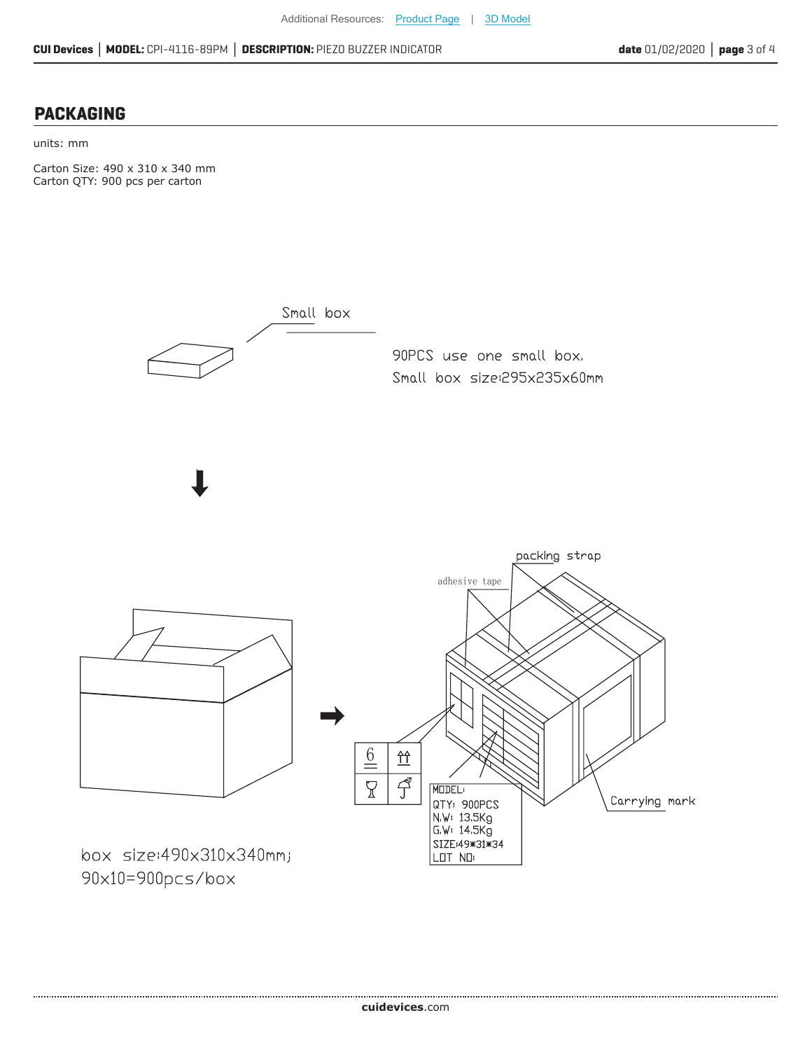#### **PACKAGING**

units: mm

Carton Size: 490 x 310 x 340 mm Carton QTY: 900 pcs per carton